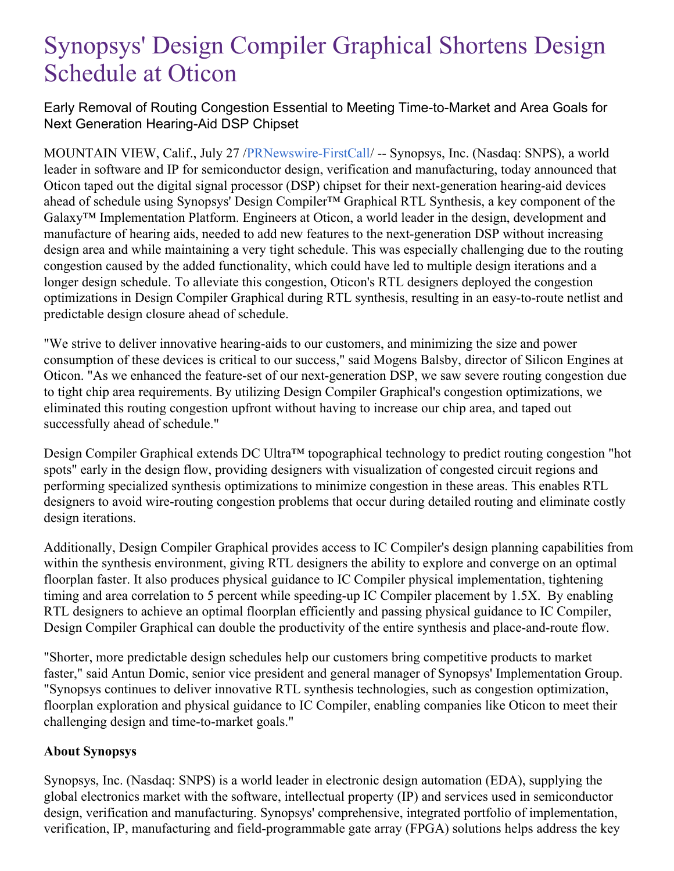## Synopsys' Design Compiler Graphical Shortens Design Schedule at Oticon

Early Removal of Routing Congestion Essential to Meeting Time-to-Market and Area Goals for Next Generation Hearing-Aid DSP Chipset

MOUNTAIN VIEW, Calif., July 27 [/PRNewswire-FirstCall](http://www.prnewswire.com/)/ -- Synopsys, Inc. (Nasdaq: SNPS), a world leader in software and IP for semiconductor design, verification and manufacturing, today announced that Oticon taped out the digital signal processor (DSP) chipset for their next-generation hearing-aid devices ahead of schedule using Synopsys' Design Compiler™ Graphical RTL Synthesis, a key component of the Galaxy™ Implementation Platform. Engineers at Oticon, a world leader in the design, development and manufacture of hearing aids, needed to add new features to the next-generation DSP without increasing design area and while maintaining a very tight schedule. This was especially challenging due to the routing congestion caused by the added functionality, which could have led to multiple design iterations and a longer design schedule. To alleviate this congestion, Oticon's RTL designers deployed the congestion optimizations in Design Compiler Graphical during RTL synthesis, resulting in an easy-to-route netlist and predictable design closure ahead of schedule.

"We strive to deliver innovative hearing-aids to our customers, and minimizing the size and power consumption of these devices is critical to our success," said Mogens Balsby, director of Silicon Engines at Oticon. "As we enhanced the feature-set of our next-generation DSP, we saw severe routing congestion due to tight chip area requirements. By utilizing Design Compiler Graphical's congestion optimizations, we eliminated this routing congestion upfront without having to increase our chip area, and taped out successfully ahead of schedule."

Design Compiler Graphical extends DC Ultra™ topographical technology to predict routing congestion "hot spots" early in the design flow, providing designers with visualization of congested circuit regions and performing specialized synthesis optimizations to minimize congestion in these areas. This enables RTL designers to avoid wire-routing congestion problems that occur during detailed routing and eliminate costly design iterations.

Additionally, Design Compiler Graphical provides access to IC Compiler's design planning capabilities from within the synthesis environment, giving RTL designers the ability to explore and converge on an optimal floorplan faster. It also produces physical guidance to IC Compiler physical implementation, tightening timing and area correlation to 5 percent while speeding-up IC Compiler placement by 1.5X. By enabling RTL designers to achieve an optimal floorplan efficiently and passing physical guidance to IC Compiler, Design Compiler Graphical can double the productivity of the entire synthesis and place-and-route flow.

"Shorter, more predictable design schedules help our customers bring competitive products to market faster," said Antun Domic, senior vice president and general manager of Synopsys' Implementation Group. "Synopsys continues to deliver innovative RTL synthesis technologies, such as congestion optimization, floorplan exploration and physical guidance to IC Compiler, enabling companies like Oticon to meet their challenging design and time-to-market goals."

## **About Synopsys**

Synopsys, Inc. (Nasdaq: SNPS) is a world leader in electronic design automation (EDA), supplying the global electronics market with the software, intellectual property (IP) and services used in semiconductor design, verification and manufacturing. Synopsys' comprehensive, integrated portfolio of implementation, verification, IP, manufacturing and field-programmable gate array (FPGA) solutions helps address the key